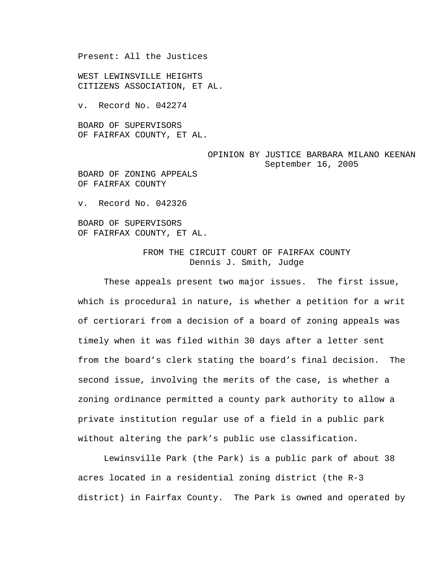Present: All the Justices

WEST LEWINSVILLE HEIGHTS CITIZENS ASSOCIATION, ET AL.

v. Record No. 042274

BOARD OF SUPERVISORS OF FAIRFAX COUNTY, ET AL.

## OPINION BY JUSTICE BARBARA MILANO KEENAN September 16, 2005

BOARD OF ZONING APPEALS OF FAIRFAX COUNTY

v. Record No. 042326

BOARD OF SUPERVISORS OF FAIRFAX COUNTY, ET AL.

## FROM THE CIRCUIT COURT OF FAIRFAX COUNTY Dennis J. Smith, Judge

 These appeals present two major issues. The first issue, which is procedural in nature, is whether a petition for a writ of certiorari from a decision of a board of zoning appeals was timely when it was filed within 30 days after a letter sent from the board's clerk stating the board's final decision. The second issue, involving the merits of the case, is whether a zoning ordinance permitted a county park authority to allow a private institution regular use of a field in a public park without altering the park's public use classification.

Lewinsville Park (the Park) is a public park of about 38 acres located in a residential zoning district (the R-3 district) in Fairfax County. The Park is owned and operated by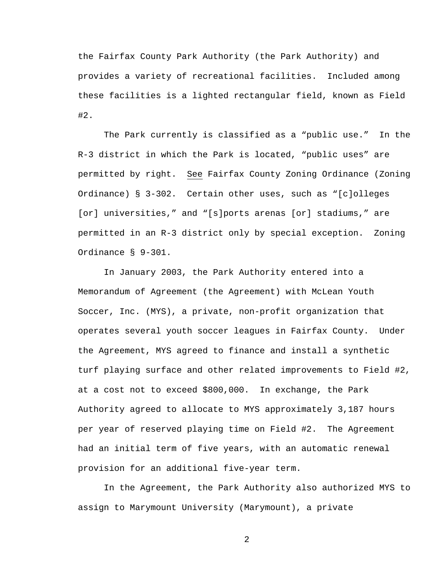the Fairfax County Park Authority (the Park Authority) and provides a variety of recreational facilities. Included among these facilities is a lighted rectangular field, known as Field #2.

The Park currently is classified as a "public use." In the R-3 district in which the Park is located, "public uses" are permitted by right. See Fairfax County Zoning Ordinance (Zoning Ordinance) § 3-302. Certain other uses, such as "[c]olleges [or] universities," and "[s]ports arenas [or] stadiums," are permitted in an R-3 district only by special exception. Zoning Ordinance § 9-301.

In January 2003, the Park Authority entered into a Memorandum of Agreement (the Agreement) with McLean Youth Soccer, Inc. (MYS), a private, non-profit organization that operates several youth soccer leagues in Fairfax County. Under the Agreement, MYS agreed to finance and install a synthetic turf playing surface and other related improvements to Field #2, at a cost not to exceed \$800,000. In exchange, the Park Authority agreed to allocate to MYS approximately 3,187 hours per year of reserved playing time on Field #2. The Agreement had an initial term of five years, with an automatic renewal provision for an additional five-year term.

 In the Agreement, the Park Authority also authorized MYS to assign to Marymount University (Marymount), a private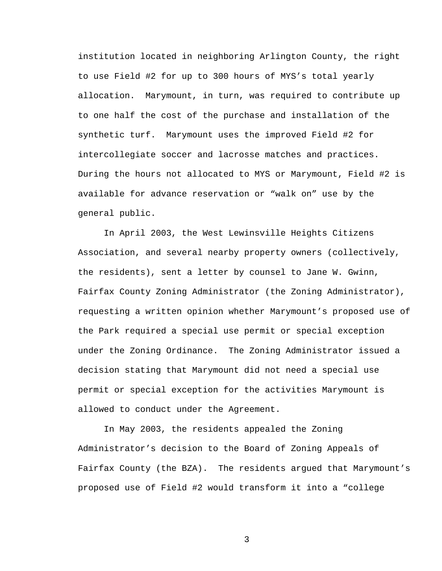institution located in neighboring Arlington County, the right to use Field #2 for up to 300 hours of MYS's total yearly allocation. Marymount, in turn, was required to contribute up to one half the cost of the purchase and installation of the synthetic turf. Marymount uses the improved Field #2 for intercollegiate soccer and lacrosse matches and practices. During the hours not allocated to MYS or Marymount, Field #2 is available for advance reservation or "walk on" use by the general public.

 In April 2003, the West Lewinsville Heights Citizens Association, and several nearby property owners (collectively, the residents), sent a letter by counsel to Jane W. Gwinn, Fairfax County Zoning Administrator (the Zoning Administrator), requesting a written opinion whether Marymount's proposed use of the Park required a special use permit or special exception under the Zoning Ordinance. The Zoning Administrator issued a decision stating that Marymount did not need a special use permit or special exception for the activities Marymount is allowed to conduct under the Agreement.

 In May 2003, the residents appealed the Zoning Administrator's decision to the Board of Zoning Appeals of Fairfax County (the BZA). The residents argued that Marymount's proposed use of Field #2 would transform it into a "college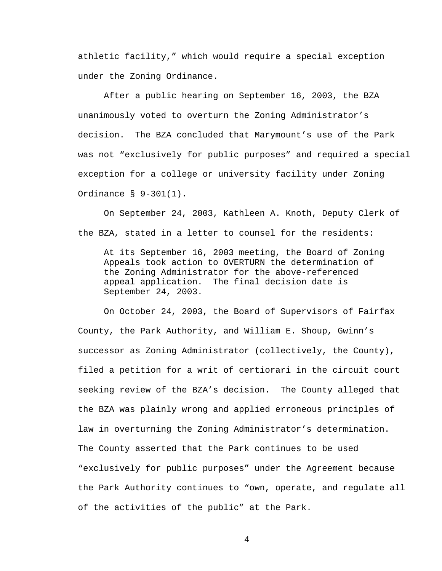athletic facility," which would require a special exception under the Zoning Ordinance.

 After a public hearing on September 16, 2003, the BZA unanimously voted to overturn the Zoning Administrator's decision. The BZA concluded that Marymount's use of the Park was not "exclusively for public purposes" and required a special exception for a college or university facility under Zoning Ordinance § 9-301(1).

 On September 24, 2003, Kathleen A. Knoth, Deputy Clerk of the BZA, stated in a letter to counsel for the residents:

At its September 16, 2003 meeting, the Board of Zoning Appeals took action to OVERTURN the determination of the Zoning Administrator for the above-referenced appeal application. The final decision date is September 24, 2003.

 On October 24, 2003, the Board of Supervisors of Fairfax County, the Park Authority, and William E. Shoup, Gwinn's successor as Zoning Administrator (collectively, the County), filed a petition for a writ of certiorari in the circuit court seeking review of the BZA's decision. The County alleged that the BZA was plainly wrong and applied erroneous principles of law in overturning the Zoning Administrator's determination. The County asserted that the Park continues to be used "exclusively for public purposes" under the Agreement because the Park Authority continues to "own, operate, and regulate all of the activities of the public" at the Park.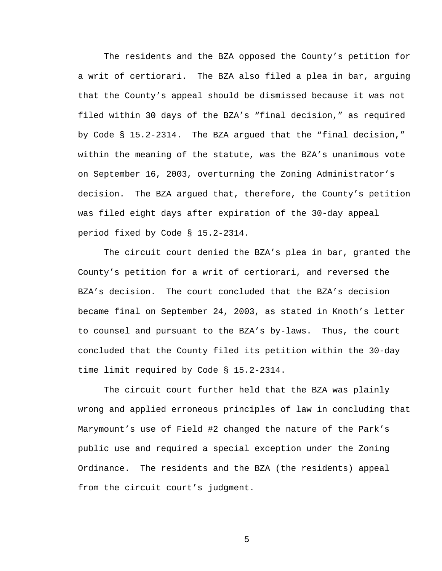The residents and the BZA opposed the County's petition for a writ of certiorari. The BZA also filed a plea in bar, arguing that the County's appeal should be dismissed because it was not filed within 30 days of the BZA's "final decision," as required by Code § 15.2-2314. The BZA argued that the "final decision," within the meaning of the statute, was the BZA's unanimous vote on September 16, 2003, overturning the Zoning Administrator's decision. The BZA argued that, therefore, the County's petition was filed eight days after expiration of the 30-day appeal period fixed by Code § 15.2-2314.

 The circuit court denied the BZA's plea in bar, granted the County's petition for a writ of certiorari, and reversed the BZA's decision. The court concluded that the BZA's decision became final on September 24, 2003, as stated in Knoth's letter to counsel and pursuant to the BZA's by-laws. Thus, the court concluded that the County filed its petition within the 30-day time limit required by Code § 15.2-2314.

The circuit court further held that the BZA was plainly wrong and applied erroneous principles of law in concluding that Marymount's use of Field #2 changed the nature of the Park's public use and required a special exception under the Zoning Ordinance. The residents and the BZA (the residents) appeal from the circuit court's judgment.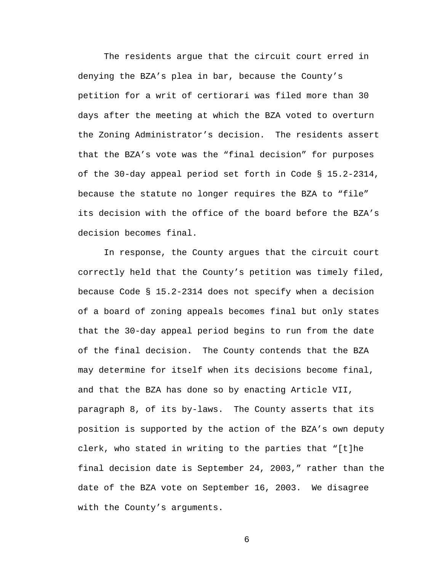The residents argue that the circuit court erred in denying the BZA's plea in bar, because the County's petition for a writ of certiorari was filed more than 30 days after the meeting at which the BZA voted to overturn the Zoning Administrator's decision. The residents assert that the BZA's vote was the "final decision" for purposes of the 30-day appeal period set forth in Code § 15.2-2314, because the statute no longer requires the BZA to "file" its decision with the office of the board before the BZA's decision becomes final.

 In response, the County argues that the circuit court correctly held that the County's petition was timely filed, because Code § 15.2-2314 does not specify when a decision of a board of zoning appeals becomes final but only states that the 30-day appeal period begins to run from the date of the final decision. The County contends that the BZA may determine for itself when its decisions become final, and that the BZA has done so by enacting Article VII, paragraph 8, of its by-laws. The County asserts that its position is supported by the action of the BZA's own deputy clerk, who stated in writing to the parties that "[t]he final decision date is September 24, 2003," rather than the date of the BZA vote on September 16, 2003. We disagree with the County's arguments.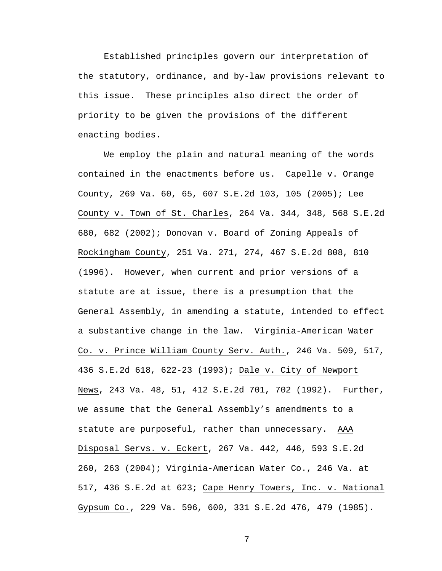Established principles govern our interpretation of the statutory, ordinance, and by-law provisions relevant to this issue. These principles also direct the order of priority to be given the provisions of the different enacting bodies.

 We employ the plain and natural meaning of the words contained in the enactments before us. Capelle v. Orange County, 269 Va. 60, 65, 607 S.E.2d 103, 105 (2005); Lee County v. Town of St. Charles, 264 Va. 344, 348, 568 S.E.2d 680, 682 (2002); Donovan v. Board of Zoning Appeals of Rockingham County, 251 Va. 271, 274, 467 S.E.2d 808, 810 (1996). However, when current and prior versions of a statute are at issue, there is a presumption that the General Assembly, in amending a statute, intended to effect a substantive change in the law. Virginia-American Water Co. v. Prince William County Serv. Auth., 246 Va. 509, 517, 436 S.E.2d 618, 622-23 (1993); Dale v. City of Newport News, 243 Va. 48, 51, 412 S.E.2d 701, 702 (1992). Further, we assume that the General Assembly's amendments to a statute are purposeful, rather than unnecessary. AAA Disposal Servs. v. Eckert, 267 Va. 442, 446, 593 S.E.2d 260, 263 (2004); Virginia-American Water Co., 246 Va. at 517, 436 S.E.2d at 623; Cape Henry Towers, Inc. v. National Gypsum Co., 229 Va. 596, 600, 331 S.E.2d 476, 479 (1985).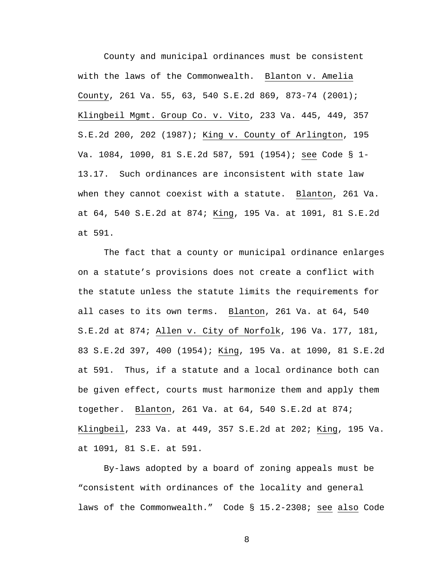County and municipal ordinances must be consistent with the laws of the Commonwealth. Blanton v. Amelia County, 261 Va. 55, 63, 540 S.E.2d 869, 873-74 (2001); Klingbeil Mgmt. Group Co. v. Vito, 233 Va. 445, 449, 357 S.E.2d 200, 202 (1987); King v. County of Arlington, 195 Va. 1084, 1090, 81 S.E.2d 587, 591 (1954); see Code § 1- 13.17. Such ordinances are inconsistent with state law when they cannot coexist with a statute. Blanton, 261 Va. at 64, 540 S.E.2d at 874; King, 195 Va. at 1091, 81 S.E.2d at 591.

 The fact that a county or municipal ordinance enlarges on a statute's provisions does not create a conflict with the statute unless the statute limits the requirements for all cases to its own terms. Blanton, 261 Va. at 64, 540 S.E.2d at 874; Allen v. City of Norfolk, 196 Va. 177, 181, 83 S.E.2d 397, 400 (1954); King, 195 Va. at 1090, 81 S.E.2d at 591. Thus, if a statute and a local ordinance both can be given effect, courts must harmonize them and apply them together. Blanton, 261 Va. at 64, 540 S.E.2d at 874; Klingbeil, 233 Va. at 449, 357 S.E.2d at 202; King, 195 Va. at 1091, 81 S.E. at 591.

 By-laws adopted by a board of zoning appeals must be "consistent with ordinances of the locality and general laws of the Commonwealth." Code § 15.2-2308; see also Code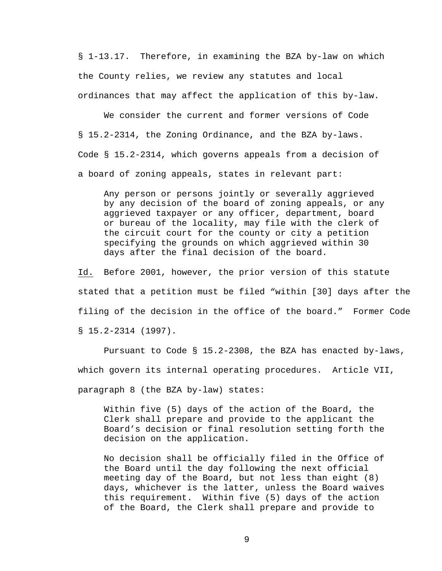§ 1-13.17. Therefore, in examining the BZA by-law on which the County relies, we review any statutes and local ordinances that may affect the application of this by-law.

 We consider the current and former versions of Code § 15.2-2314, the Zoning Ordinance, and the BZA by-laws. Code § 15.2-2314, which governs appeals from a decision of a board of zoning appeals, states in relevant part:

Any person or persons jointly or severally aggrieved by any decision of the board of zoning appeals, or any aggrieved taxpayer or any officer, department, board or bureau of the locality, may file with the clerk of the circuit court for the county or city a petition specifying the grounds on which aggrieved within 30 days after the final decision of the board.

Id. Before 2001, however, the prior version of this statute stated that a petition must be filed "within [30] days after the filing of the decision in the office of the board." Former Code § 15.2-2314 (1997).

 Pursuant to Code § 15.2-2308, the BZA has enacted by-laws, which govern its internal operating procedures. Article VII, paragraph 8 (the BZA by-law) states:

Within five (5) days of the action of the Board, the Clerk shall prepare and provide to the applicant the Board's decision or final resolution setting forth the decision on the application.

No decision shall be officially filed in the Office of the Board until the day following the next official meeting day of the Board, but not less than eight (8) days, whichever is the latter, unless the Board waives this requirement. Within five (5) days of the action of the Board, the Clerk shall prepare and provide to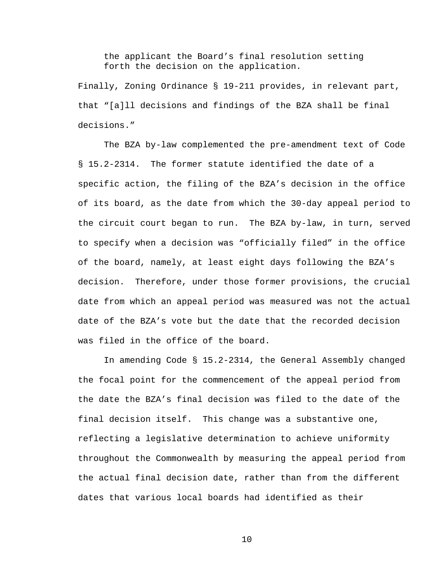the applicant the Board's final resolution setting forth the decision on the application.

Finally, Zoning Ordinance § 19-211 provides, in relevant part, that "[a]ll decisions and findings of the BZA shall be final decisions."

 The BZA by-law complemented the pre-amendment text of Code § 15.2-2314. The former statute identified the date of a specific action, the filing of the BZA's decision in the office of its board, as the date from which the 30-day appeal period to the circuit court began to run. The BZA by-law, in turn, served to specify when a decision was "officially filed" in the office of the board, namely, at least eight days following the BZA's decision. Therefore, under those former provisions, the crucial date from which an appeal period was measured was not the actual date of the BZA's vote but the date that the recorded decision was filed in the office of the board.

 In amending Code § 15.2-2314, the General Assembly changed the focal point for the commencement of the appeal period from the date the BZA's final decision was filed to the date of the final decision itself. This change was a substantive one, reflecting a legislative determination to achieve uniformity throughout the Commonwealth by measuring the appeal period from the actual final decision date, rather than from the different dates that various local boards had identified as their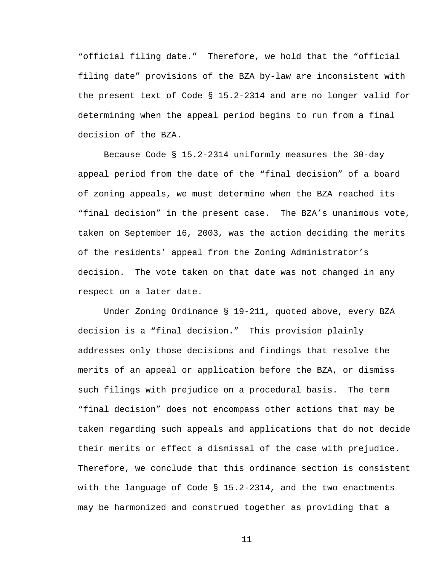"official filing date." Therefore, we hold that the "official filing date" provisions of the BZA by-law are inconsistent with the present text of Code § 15.2-2314 and are no longer valid for determining when the appeal period begins to run from a final decision of the BZA.

Because Code § 15.2-2314 uniformly measures the 30-day appeal period from the date of the "final decision" of a board of zoning appeals, we must determine when the BZA reached its "final decision" in the present case. The BZA's unanimous vote, taken on September 16, 2003, was the action deciding the merits of the residents' appeal from the Zoning Administrator's decision. The vote taken on that date was not changed in any respect on a later date.

 Under Zoning Ordinance § 19-211, quoted above, every BZA decision is a "final decision." This provision plainly addresses only those decisions and findings that resolve the merits of an appeal or application before the BZA, or dismiss such filings with prejudice on a procedural basis. The term "final decision" does not encompass other actions that may be taken regarding such appeals and applications that do not decide their merits or effect a dismissal of the case with prejudice. Therefore, we conclude that this ordinance section is consistent with the language of Code § 15.2-2314, and the two enactments may be harmonized and construed together as providing that a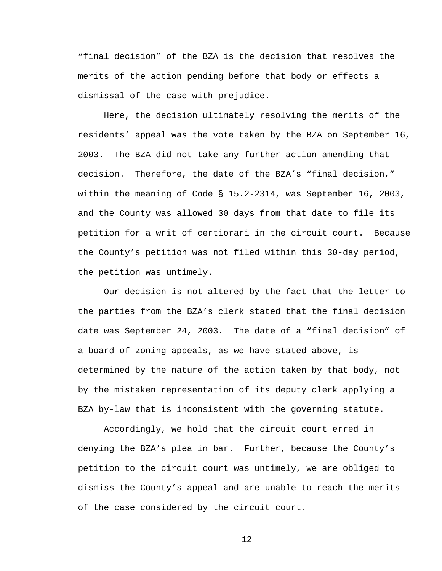"final decision" of the BZA is the decision that resolves the merits of the action pending before that body or effects a dismissal of the case with prejudice.

 Here, the decision ultimately resolving the merits of the residents' appeal was the vote taken by the BZA on September 16, 2003. The BZA did not take any further action amending that decision. Therefore, the date of the BZA's "final decision," within the meaning of Code § 15.2-2314, was September 16, 2003, and the County was allowed 30 days from that date to file its petition for a writ of certiorari in the circuit court. Because the County's petition was not filed within this 30-day period, the petition was untimely.

Our decision is not altered by the fact that the letter to the parties from the BZA's clerk stated that the final decision date was September 24, 2003. The date of a "final decision" of a board of zoning appeals, as we have stated above, is determined by the nature of the action taken by that body, not by the mistaken representation of its deputy clerk applying a BZA by-law that is inconsistent with the governing statute.

Accordingly, we hold that the circuit court erred in denying the BZA's plea in bar. Further, because the County's petition to the circuit court was untimely, we are obliged to dismiss the County's appeal and are unable to reach the merits of the case considered by the circuit court.